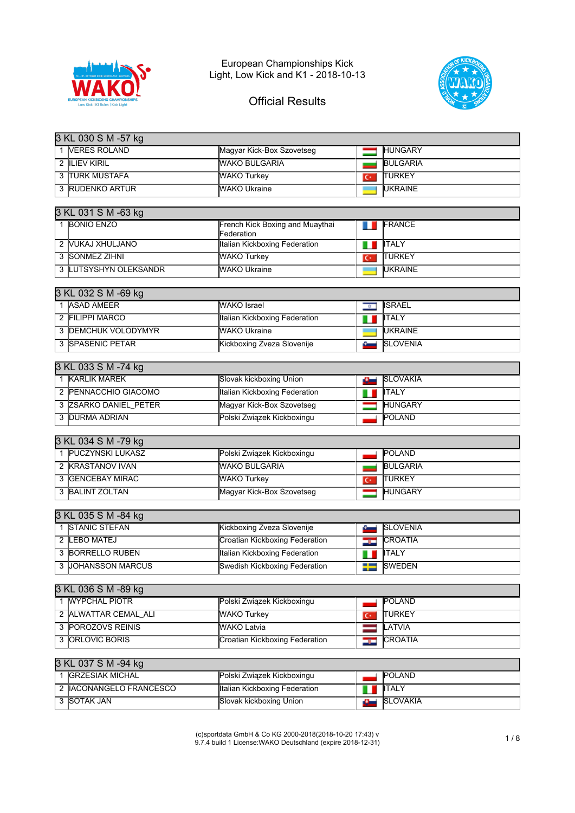



| 3 KL 030 S M -57 kg                 |                                               |                                 |
|-------------------------------------|-----------------------------------------------|---------------------------------|
| 1 VERES ROLAND                      | Magyar Kick-Box Szovetseg                     | <b>HUNGARY</b>                  |
| <b>2 ILIEV KIRIL</b>                | <b>WAKO BULGARIA</b>                          | <b>BULGARIA</b>                 |
| <b>3 TURK MUSTAFA</b>               | <b>WAKO Turkey</b>                            | <b>TURKEY</b><br>$\overline{C}$ |
| 3 RUDENKO ARTUR                     | <b>WAKO Ukraine</b>                           | <b>UKRAINE</b>                  |
|                                     |                                               |                                 |
| 3 KL 031 S M -63 kg                 |                                               |                                 |
| 1 BONIO ENZO                        | French Kick Boxing and Muaythai<br>Federation | FRANCE<br>T L                   |
| 2 VUKAJ XHULJANO                    | Italian Kickboxing Federation                 | <b>ITALY</b><br>Ш               |
| 3 SONMEZ ZIHNI                      | <b>WAKO Turkey</b>                            | <b>TURKEY</b><br>$\overline{C}$ |
| 3 LUTSYSHYN OLEKSANDR               | <b>WAKO Ukraine</b>                           | <b>UKRAINE</b>                  |
|                                     |                                               |                                 |
| 3 KL 032 S M -69 kg<br>1 ASAD AMEER |                                               |                                 |
|                                     | <b>WAKO</b> Israel                            | <b>ISRAEL</b><br>$\overline{a}$ |
| 2 FILIPPI MARCO                     | <b>Italian Kickboxing Federation</b>          | <b>ITALY</b><br>ш               |
| 3 <b>DEMCHUK VOLODYMYR</b>          | <b>WAKO Ukraine</b>                           | <b>UKRAINE</b>                  |
| 3 SPASENIC PETAR                    | Kickboxing Zveza Slovenije                    | <b>SLOVENIA</b><br>ست           |
| 3 KL 033 S M -74 kg                 |                                               |                                 |
| 1 KARLIK MAREK                      | Slovak kickboxing Union                       | <b>SLOVAKIA</b><br>ست           |
| 2 PENNACCHIO GIACOMO                | <b>Italian Kickboxing Federation</b>          | <b>ITALY</b><br>10              |
| 3 ZSARKO DANIEL PETER               | Magyar Kick-Box Szovetseg                     | <b>HUNGARY</b>                  |
| 3 DURMA ADRIAN                      | Polski Związek Kickboxingu                    | POLAND                          |
|                                     |                                               |                                 |
| 3 KL 034 S M -79 kg                 |                                               |                                 |
| 1   PUCZYNSKI LUKASZ                | Polski Związek Kickboxingu                    | <b>POLAND</b>                   |
| 2 KRASTANOV IVAN                    | <b>WAKO BULGARIA</b>                          | <b>BULGARIA</b>                 |
| 3 GENCEBAY MIRAC                    | <b>WAKO Turkey</b>                            | <b>TURKEY</b><br>$\overline{C}$ |
| 3 BALINT ZOLTAN                     | Magyar Kick-Box Szovetseg                     | <b>HUNGARY</b>                  |
| 3 KL 035 S M -84 kg                 |                                               |                                 |
| 1 STANIC STEFAN                     | Kickboxing Zveza Slovenije                    | <b>SLOVENIA</b><br>نست          |
| 2 LEBO MATEJ                        | <b>Croatian Kickboxing Federation</b>         | <b>CROATIA</b><br>32            |
| 3 BORRELLO RUBEN                    | Italian Kickboxing Federation                 | <b>ITALY</b><br>1 D             |
| 3 JOHANSSON MARCUS                  | <b>Swedish Kickboxing Federation</b>          | <b>SWEDEN</b><br>₽              |
|                                     |                                               |                                 |
| 3 KL 036 S M -89 kg                 |                                               |                                 |
| 1 WYPCHAL PIOTR                     | Polski Związek Kickboxingu                    | POLAND                          |
| 2 ALWATTAR CEMAL_ALI                | <b>WAKO Turkey</b>                            | <b>TURKEY</b><br>$\overline{C}$ |
| 3 POROZOVS REINIS                   | <b>WAKO Latvia</b>                            | LATVIA                          |
| <b>ORLOVIC BORIS</b><br>3           | <b>Croatian Kickboxing Federation</b>         | CROATIA<br>دره                  |
|                                     |                                               |                                 |
| 3 KL 037 S M -94 kg                 |                                               |                                 |

| <b>IGRZESIAK MICHAL</b>  | Polski Związek Kickboxingu    | <b>POLAND</b>    |
|--------------------------|-------------------------------|------------------|
| 2 IIACONANGELO FRANCESCO | Italian Kickboxing Federation | <b>IITALY</b>    |
| 3 ISOTAK JAN             | Slovak kickboxing Union       | <b>ISLOVAKIA</b> |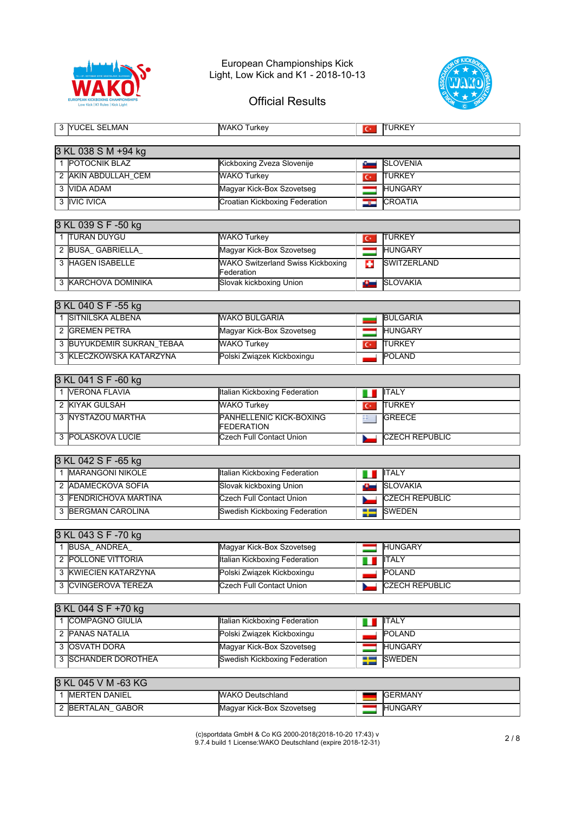



| 3 YUCEL SELMAN                       | <b>WAKO Turkey</b>                                     | $C^*$          | <b>TURKEY</b>         |
|--------------------------------------|--------------------------------------------------------|----------------|-----------------------|
| 3 KL 038 S M +94 kg                  |                                                        |                |                       |
| 1 POTOCNIK BLAZ                      | Kickboxing Zveza Slovenije                             | ست             | <b>SLOVENIA</b>       |
| 2 AKIN ABDULLAH_CEM                  | <b>WAKO Turkey</b>                                     | $\overline{C}$ | TURKEY                |
| 3 VIDA ADAM                          | Magyar Kick-Box Szovetseg                              |                | <b>HUNGARY</b>        |
| 3 IVIC IVICA                         | <b>Croatian Kickboxing Federation</b>                  |                | <b>CROATIA</b>        |
|                                      |                                                        | درتك           |                       |
| 3 KL 039 S F -50 kg                  |                                                        |                |                       |
| 1 TURAN DUYGU                        | <b>WAKO Turkey</b>                                     | $C^*$          | <b>TURKEY</b>         |
| 2 BUSA_GABRIELLA_                    | Magyar Kick-Box Szovetseg                              | —              | <b>HUNGARY</b>        |
| 3 HAGEN ISABELLE                     | <b>WAKO Switzerland Swiss Kickboxing</b><br>Federation | o              | SWITZERLAND           |
| 3 KARCHOVA DOMINIKA                  | Slovak kickboxing Union                                | o.             | <b>SLOVAKIA</b>       |
| 3 KL 040 S F -55 kg                  |                                                        |                |                       |
| 1 SITNILSKA ALBENA                   | <b>WAKO BULGARIA</b>                                   |                | <b>BULGARIA</b>       |
| 2 GREMEN PETRA                       | Magyar Kick-Box Szovetseg                              | ═              | <b>HUNGARY</b>        |
| 3 BUYUKDEMIR SUKRAN_TEBAA            | <b>WAKO Turkey</b>                                     | $\overline{C}$ | <b>TURKEY</b>         |
| 3 KLECZKOWSKA KATARZYNA              | Polski Związek Kickboxingu                             |                | POLAND                |
|                                      |                                                        |                |                       |
| 3 KL 041 S F -60 kg                  |                                                        |                |                       |
| 1 VERONA FLAVIA                      | Italian Kickboxing Federation                          | m              | <b>ITALY</b>          |
| 2 KIYAK GULSAH                       | <b>WAKO Turkey</b>                                     | $C^*$          | <b>TURKEY</b>         |
| 3 NYSTAZOU MARTHA                    | PANHELLENIC KICK-BOXING<br><b>FEDERATION</b>           | $\mathbf{r}$   | <b>GREECE</b>         |
| 3 POLASKOVA LUCIE                    | <b>Czech Full Contact Union</b>                        |                | <b>CZECH REPUBLIC</b> |
|                                      |                                                        |                |                       |
| 3 KL 042 S F -65 kg                  |                                                        |                |                       |
| 1  MARANGONI NIKOLE                  | Italian Kickboxing Federation                          | ш              | <b>ITALY</b>          |
| 2 ADAMECKOVA SOFIA                   | Slovak kickboxing Union                                | a.             | <b>SLOVAKIA</b>       |
| 3 FENDRICHOVA MARTINA                | Czech Full Contact Union                               |                | <b>CZECH REPUBLIC</b> |
| 3 BERGMAN CAROLINA                   | <b>Swedish Kickboxing Federation</b>                   | --<br>--       | <b>SWEDEN</b>         |
| 3 KL 043 S F -70 kg                  |                                                        |                |                       |
| 1 BUSA_ANDREA                        | Magyar Kick-Box Szovetseg                              | $\equiv$       | <b>HUNGARY</b>        |
| 2 POLLONE VITTORIA                   | Italian Kickboxing Federation                          | ш              | <b>ITALY</b>          |
| <b>KWIECIEN KATARZYNA</b><br>3       | Polski Związek Kickboxingu                             |                | POLAND                |
| <b>CVINGEROVA TEREZA</b>             | <b>Czech Full Contact Union</b>                        |                | <b>CZECH REPUBLIC</b> |
|                                      |                                                        |                |                       |
| 3 KL 044 S F +70 kg                  |                                                        |                |                       |
| 1 COMPAGNO GIULIA                    | Italian Kickboxing Federation                          | ш              | <b>ITALY</b>          |
| 2 PANAS NATALIA                      | Polski Związek Kickboxingu                             |                | POLAND                |
| 3 OSVATH DORA                        | Magyar Kick-Box Szovetseg                              |                | <b>HUNGARY</b>        |
| 3 SCHANDER DOROTHEA                  | <b>Swedish Kickboxing Federation</b>                   | ≡              | <b>SWEDEN</b>         |
|                                      |                                                        |                |                       |
| 3 KL 045 V M -63 KG                  |                                                        |                |                       |
| <b>MERTEN DANIEL</b><br>$\mathbf{1}$ | <b>WAKO Deutschland</b>                                |                | <b>GERMANY</b>        |
| 2 BERTALAN_GABOR                     | Magyar Kick-Box Szovetseg                              |                | <b>HUNGARY</b>        |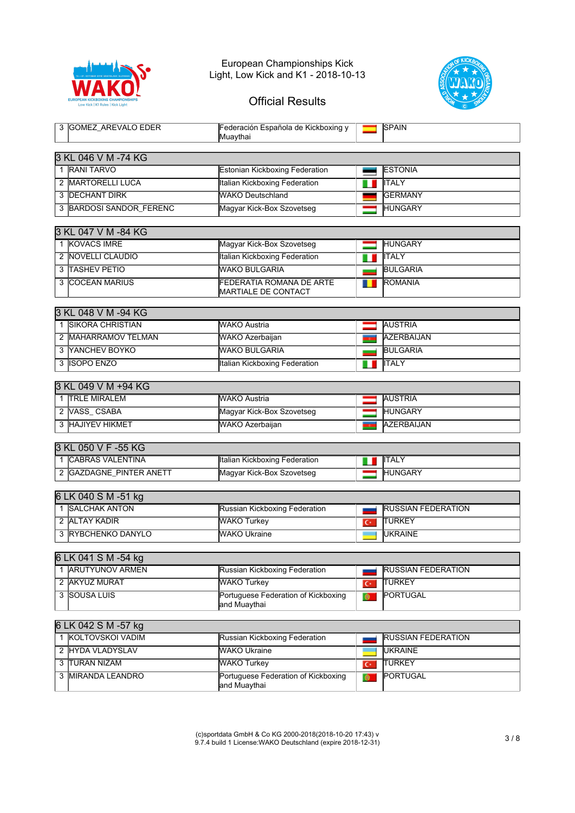



## Official Results

| 3 GOMEZ AREVALO EDER     | Federación Española de Kickboxing y<br>Muaythai                |   | <b>SPAIN</b>    |  |  |
|--------------------------|----------------------------------------------------------------|---|-----------------|--|--|
| 3 KL 046 V M -74 KG      |                                                                |   |                 |  |  |
|                          |                                                                |   |                 |  |  |
| 1 RANI TARVO             | <b>Estonian Kickboxing Federation</b>                          |   | <b>ESTONIA</b>  |  |  |
| 2 MARTORELLI LUCA        | Italian Kickboxing Federation                                  |   | <b>IITALY</b>   |  |  |
| <b>3 IDECHANT DIRK</b>   | WAKO Deutschland                                               |   | <b>IGERMANY</b> |  |  |
| 3 BARDOSI SANDOR FERENC  | Magyar Kick-Box Szovetseg                                      |   | <b>HUNGARY</b>  |  |  |
|                          |                                                                |   |                 |  |  |
| 3 KL 047 V M -84 KG      |                                                                |   |                 |  |  |
| 1 KOVACS IMRE            | Magyar Kick-Box Szovetseg                                      |   | <b>HUNGARY</b>  |  |  |
| 2 <b>NOVELLI CLAUDIO</b> | Italian Kickboxing Federation                                  | ш | IITALY          |  |  |
| 3 TASHEV PETIO           | <b>WAKO BULGARIA</b>                                           |   | <b>BULGARIA</b> |  |  |
| 3 ICOCEAN MARIUS         | <b>FEDERATIA ROMANA DE ARTE</b><br><b>IMARTIALE DE CONTACT</b> |   | <b>ROMANIA</b>  |  |  |

| 3 KL 048 V M -94 KG      |                               |  |                   |
|--------------------------|-------------------------------|--|-------------------|
| <b>ISIKORA CHRISTIAN</b> | <b>WAKO Austria</b>           |  | <b>AUSTRIA</b>    |
| 2 IMAHARRAMOV TELMAN     | <b>WAKO Azerbaijan</b>        |  | <b>AZERBAIJAN</b> |
| 3 NANCHEV BOYKO          | <b>WAKO BULGARIA</b>          |  | <b>BULGARIA</b>   |
| 3 ISOPO ENZO             | Italian Kickboxing Federation |  | <b>IITALY</b>     |

#### 3 KL 049 V M +94 KG

| <b>TRLE MIRALEM</b>   | <b>WAKO Austria</b>       | <b>AUSTRIA</b>    |
|-----------------------|---------------------------|-------------------|
| VASS CSABA            | Magyar Kick-Box Szovetseg | <b>HUNGARY</b>    |
| <b>HAJIYEV HIKMET</b> | <b>WAKO Azerbaijan</b>    | <b>AZERBAIJAN</b> |

| 3 KL 050 V F -55 KG      |                               |                |
|--------------------------|-------------------------------|----------------|
| ICABRAS VALENTINA        | Italian Kickboxing Federation | <b>I</b> ITALY |
| : IGAZDAGNE PINTER ANETT | Magyar Kick-Box Szovetseg     | <b>HUNGARY</b> |

#### 6 LK 040 S M -51 kg

| ISALCHAK ANTON      | Russian Kickboxing Federation | <b>RUSSIAN FEDERATION</b> |
|---------------------|-------------------------------|---------------------------|
| 2 JALTAY KADIR      | <b>WAKO Turkey</b>            | <b>ITURKEY</b>            |
| 3 IRYBCHENKO DANYLO | <b>MAKO Ukraine</b>           | <b>IUKRAINE</b>           |

#### 6 LK 041 S M -54 kg

| ARUTYUNOV ARMEN | Russian Kickboxing Federation                        | <b>RUSSIAN FEDERATION</b> |
|-----------------|------------------------------------------------------|---------------------------|
| 2 IAKYUZ MURAT  | <b>WAKO Turkey</b>                                   | <b>ITURKEY</b>            |
| 3 ISOUSA LUIS   | Portuguese Federation of Kickboxing<br>land Muavthai | <b>PORTUGAL</b>           |

### 6 LK 042 S M -57 kg

| IKOLTOVSKOI VADIM  | Russian Kickboxing Federation                        | <b>RUSSIAN FEDERATION</b> |
|--------------------|------------------------------------------------------|---------------------------|
| 2 HYDA VLADYSLAV   | <b>WAKO Ukraine</b>                                  | <b>IUKRAINE</b>           |
| 3 ITURAN NIZAM     | <b>WAKO Turkey</b>                                   | <b>ITURKEY</b>            |
| 3 IMIRANDA LEANDRO | Portuguese Federation of Kickboxing<br>land Muavthai | <b>PORTUGAL</b>           |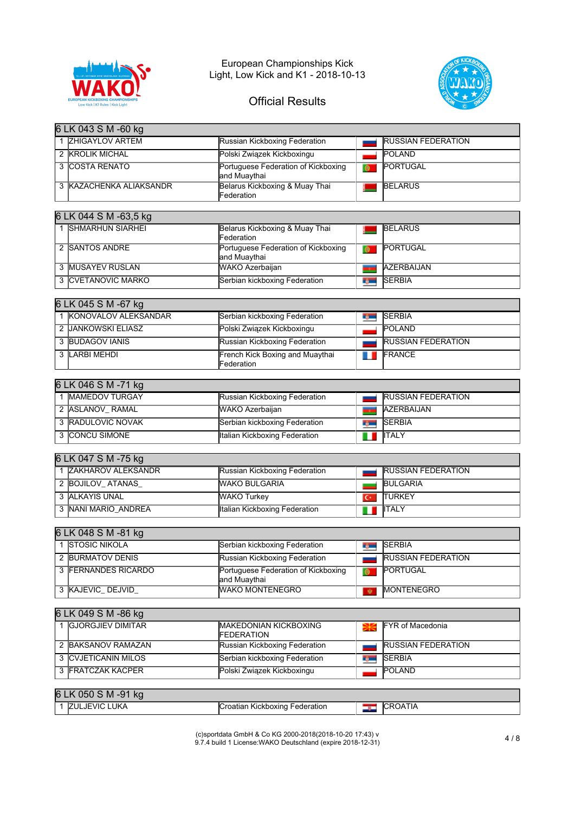



|    | 6 LK 043 S M -60 kg                           |                                                     |                |                           |
|----|-----------------------------------------------|-----------------------------------------------------|----------------|---------------------------|
|    | 1 ZHIGAYLOV ARTEM                             | Russian Kickboxing Federation                       |                | <b>RUSSIAN FEDERATION</b> |
|    | 2 KROLIK MICHAL                               | Polski Związek Kickboxingu                          |                | POLAND                    |
|    | 3 COSTA RENATO                                | Portuguese Federation of Kickboxing<br>and Muaythai | ்              | <b>PORTUGAL</b>           |
|    | 3 KAZACHENKA ALIAKSANDR                       | Belarus Kickboxing & Muay Thai<br>Federation        |                | <b>BELARUS</b>            |
|    |                                               |                                                     |                |                           |
|    | 6 LK 044 S M -63,5 kg                         |                                                     |                |                           |
|    | 1 SHMARHUN SIARHEI                            | Belarus Kickboxing & Muay Thai<br>Federation        |                | <b>BELARUS</b>            |
|    | 2 SANTOS ANDRE                                | Portuguese Federation of Kickboxing<br>and Muaythai |                | PORTUGAL                  |
|    | 3 MUSAYEV RUSLAN                              | WAKO Azerbaijan                                     |                | <b>AZERBAIJAN</b>         |
|    | <b>3 CVETANOVIC MARKO</b>                     | Serbian kickboxing Federation                       | <b>BSC</b>     | <b>SERBIA</b>             |
|    |                                               |                                                     |                |                           |
|    | 6 LK 045 S M -67 kg<br>1 KONOVALOV ALEKSANDAR |                                                     |                | <b>SERBIA</b>             |
|    |                                               | Serbian kickboxing Federation                       | ng m           |                           |
|    | 2 JANKOWSKI ELIASZ                            | Polski Związek Kickboxingu                          |                | <b>POLAND</b>             |
|    | <b>3 BUDAGOV IANIS</b>                        | Russian Kickboxing Federation                       |                | <b>RUSSIAN FEDERATION</b> |
|    | 3 LARBI MEHDI                                 | French Kick Boxing and Muaythai<br>Federation       | . .            | FRANCE                    |
|    |                                               |                                                     |                |                           |
|    | 6 LK 046 S M -71 kg<br>1 MAMEDOV TURGAY       |                                                     |                | <b>RUSSIAN FEDERATION</b> |
|    |                                               | Russian Kickboxing Federation                       |                |                           |
|    | 2 ASLANOV_RAMAL                               | <b>WAKO Azerbaijan</b>                              | <b>TO</b>      | <b>AZERBAIJAN</b>         |
|    | 3 RADULOVIC NOVAK                             | Serbian kickboxing Federation                       | tj—            | <b>SERBIA</b>             |
|    | 3 CONCU SIMONE                                | Italian Kickboxing Federation                       | ш              | <b>ITALY</b>              |
|    | 6 LK 047 S M -75 kg                           |                                                     |                |                           |
|    | 1 ZAKHAROV ALEKSANDR                          | Russian Kickboxing Federation                       |                | <b>RUSSIAN FEDERATION</b> |
|    | 2 BOJILOV_ATANAS                              | <b>WAKO BULGARIA</b>                                |                | <b>BULGARIA</b>           |
|    | 3 ALKAYIS UNAL                                | <b>WAKO Turkey</b>                                  | $\overline{C}$ | <b>TURKEY</b>             |
|    | 3 NANI MARIO ANDREA                           | Italian Kickboxing Federation                       | U              | <b>ITALY</b>              |
|    |                                               |                                                     |                |                           |
|    | 6 LK 048 S M -81 kg                           |                                                     |                |                           |
|    | 1 STOSIC NIKOLA                               | Serbian kickboxing Federation                       | ng m           | <b>SERBIA</b>             |
|    | 2 BURMATOV DENIS                              | Russian Kickboxing Federation                       |                | <b>RUSSIAN FEDERATION</b> |
| 3  | <b>FERNANDES RICARDO</b>                      | Portuguese Federation of Kickboxing<br>and Muaythai | $\bullet$      | <b>PORTUGAL</b>           |
|    | 3 KAJEVIC_DEJVID_                             | <b>WAKO MONTENEGRO</b>                              | 寮              | <b>MONTENEGRO</b>         |
|    |                                               |                                                     |                |                           |
|    | 6 LK 049 S M -86 kg                           |                                                     |                |                           |
| 1. | <b>GJORGJIEV DIMITAR</b>                      | <b>MAKEDONIAN KICKBOXING</b><br><b>FEDERATION</b>   | Ж              | <b>FYR</b> of Macedonia   |
|    | 2 BAKSANOV RAMAZAN                            | Russian Kickboxing Federation                       |                | <b>RUSSIAN FEDERATION</b> |
| 3  | <b>CVJETICANIN MILOS</b>                      | Serbian kickboxing Federation                       | <b>Reco</b>    | <b>SERBIA</b>             |
| 3  | <b>FRATCZAK KACPER</b>                        | Polski Związek Kickboxingu                          |                | POLAND                    |
|    |                                               |                                                     |                |                           |
|    | 6 LK 050 S M -91 kg                           |                                                     |                |                           |
|    | 1 ZULJEVIC LUKA                               | Croatian Kickboxing Federation                      | <u>نوم</u>     | <b>CROATIA</b>            |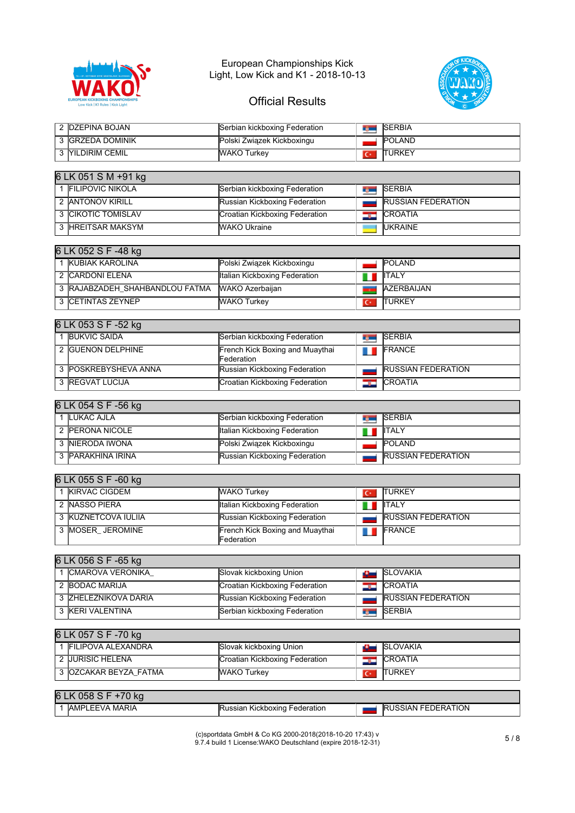



## Official Results

| 2 DZEPINA BOJAN   | Serbian kickboxing Federation | <b>ISERBIA</b> |
|-------------------|-------------------------------|----------------|
| 3 IGRZEDA DOMINIK | Polski Związek Kickboxingu    | <b>POLAND</b>  |
| 3 MILDIRIM CEMIL  | <b>WAKO Turkey</b>            | <b>TURKEY</b>  |

| 6 LK 051 S M +91 kg |                                |  |                           |  |  |
|---------------------|--------------------------------|--|---------------------------|--|--|
| 1 FILIPOVIC NIKOLA  | Serbian kickboxing Federation  |  | <b>SERBIA</b>             |  |  |
| 2 IANTONOV KIRILL   | Russian Kickboxing Federation  |  | <b>RUSSIAN FEDERATION</b> |  |  |
| 3 ICIKOTIC TOMISLAV | Croatian Kickboxing Federation |  | <b>CROATIA</b>            |  |  |
| 3 HREITSAR MAKSYM   | <b>WAKO Ukraine</b>            |  | <b>IUKRAINE</b>           |  |  |

#### 6 LK 052 S F -48 kg

|  | <b>IKUBIAK KAROLINA</b>        | Polski Związek Kickboxingu    |                          | <b>POLAND</b>     |
|--|--------------------------------|-------------------------------|--------------------------|-------------------|
|  | 2 ICARDONI ELENA               | Italian Kickboxing Federation |                          | <b>IITALY</b>     |
|  | 3 RAJABZADEH SHAHBANDLOU FATMA | WAKO Azerbaijan               |                          | <b>AZERBAIJAN</b> |
|  | 3 ICETINTAS ZEYNEP             | <b>WAKO Turkey</b>            | $\overline{\phantom{a}}$ | <b>TURKEY</b>     |

#### 6 LK 053 S F -52 kg

| <b>IBUKVIC SAIDA</b>    | Serbian kickboxing Federation                         | <b>The Contract of the Contract of the Contract of the Contract of the Contract of the Contract of the Contract of the Contract of the Contract of the Contract of the Contract of the Contract of the Contract of the Contract </b> | <b>SERBIA</b>             |
|-------------------------|-------------------------------------------------------|--------------------------------------------------------------------------------------------------------------------------------------------------------------------------------------------------------------------------------------|---------------------------|
| 2 IGUENON DELPHINE      | French Kick Boxing and Muaythai<br><b>IFederation</b> |                                                                                                                                                                                                                                      | <b>FRANCE</b>             |
| 3 IPOSKREBYSHEVA ANNA   | Russian Kickboxing Federation                         |                                                                                                                                                                                                                                      | <b>RUSSIAN FEDERATION</b> |
| 3 <b>IREGVAT LUCIJA</b> | Croatian Kickboxing Federation                        |                                                                                                                                                                                                                                      | <b>CROATIA</b>            |

### 6 LK 054 S F -56 kg

| <b>I</b> LUKAC AJLA | Serbian kickboxing Federation | <b>College</b> | <b>SERBIA</b>             |
|---------------------|-------------------------------|----------------|---------------------------|
| 2 IPERONA NICOLE    | Italian Kickboxing Federation |                | <b>IITALY</b>             |
| 3 INIERODA IWONA    | Polski Związek Kickboxingu    |                | <b>POLAND</b>             |
| 3 PARAKHINA IRINA   | Russian Kickboxing Federation |                | <b>RUSSIAN FEDERATION</b> |

| 6 LK 055 S F -60 kg |                       |                                               |   |                           |  |
|---------------------|-----------------------|-----------------------------------------------|---|---------------------------|--|
|                     | <b>IKIRVAC CIGDEM</b> | <b>WAKO Turkey</b>                            |   | <b>TURKEY</b>             |  |
|                     | 2 INASSO PIERA        | lltalian Kickboxing Federation                | ш | <b>IITALY</b>             |  |
|                     | 3 KUZNETCOVA IULIIA   | Russian Kickboxing Federation                 |   | <b>RUSSIAN FEDERATION</b> |  |
|                     | 3 MOSER JEROMINE      | French Kick Boxing and Muaythai<br>Federation |   | FRANCE                    |  |

#### 6 LK 056 S F -65 kg

| CMAROVA VERONIKA     | Slovak kickboxing Union        |                | <b>ISLOVAKIA</b>          |
|----------------------|--------------------------------|----------------|---------------------------|
| 2 BODAC MARIJA       | Croatian Kickboxing Federation | <b>Section</b> | <b>CROATIA</b>            |
| 3 ZHELEZNIKOVA DARIA | Russian Kickboxing Federation  |                | <b>RUSSIAN FEDERATION</b> |
| 3 KERI VALENTINA     | Serbian kickboxing Federation  |                | <b>SERBIA</b>             |

# 6 LK 057 S F -70 kg

| <b>IFILIPOVA ALEXANDRA</b> | Slovak kickboxing Union        | <b>ISLOVAKIA</b> |
|----------------------------|--------------------------------|------------------|
| 2 JURISIC HELENA           | Croatian Kickboxing Federation | <b>ICROATIA</b>  |
| 3 IOZCAKAR BEYZA FATMA     | <b>WAKO Turkey</b>             | <b>ITURKEY</b>   |
|                            |                                |                  |

| 16 I<br>$\sim$<br><b>kg</b><br>150 |                                             |                                       |
|------------------------------------|---------------------------------------------|---------------------------------------|
| <b>LEEVA MARIA</b><br>IAMP         | Federation<br>. Kickboxing<br><b>ussian</b> | <b>ATION</b><br>'FFDFRA'<br>⊔<br>SIAN |

(c)sportdata GmbH & Co KG 2000-2018(2018-10-20 17:43) v 9.7.4 build 1 License:WAKO Deutschland (expire 2018-12-31) 5 / 8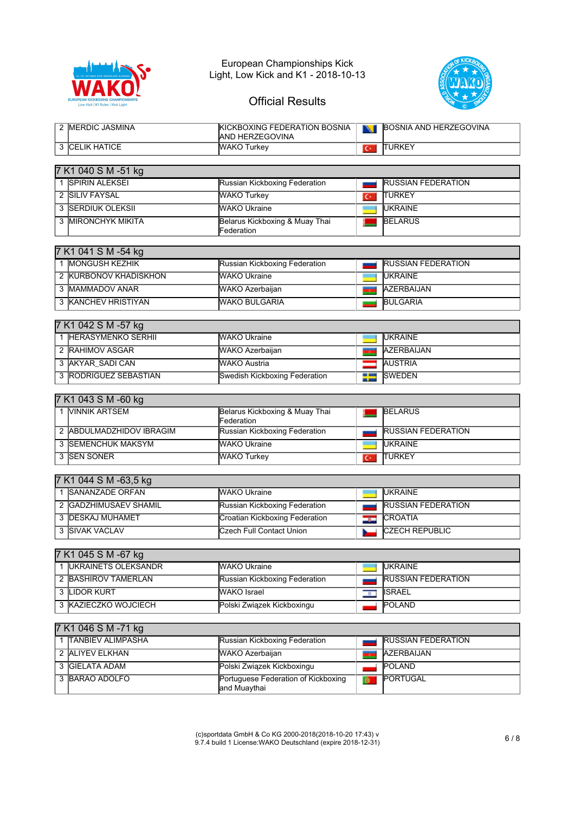



| 2 <b>IMERDIC JASMINA</b>     | KICKBOXING FEDERATION BOSNIA<br>AND HERZEGOVINA | N                         | <b>BOSNIA AND HERZEGOVINA</b> |
|------------------------------|-------------------------------------------------|---------------------------|-------------------------------|
| 3 CELIK HATICE               | <b>WAKO Turkey</b>                              | $C^*$                     | <b>TURKEY</b>                 |
| 7 K1 040 S M -51 kg          |                                                 |                           |                               |
| 1 SPIRIN ALEKSEL             | Russian Kickboxing Federation                   |                           | <b>RUSSIAN FEDERATION</b>     |
| 2 SILIV FAYSAL               | <b>WAKO Turkey</b>                              | $C^*$                     | <b>TURKEY</b>                 |
| 3 SERDIUK OLEKSII            | <b>WAKO Ukraine</b>                             |                           | <b>UKRAINE</b>                |
| 3 MIRONCHYK MIKITA           | Belarus Kickboxing & Muay Thai                  |                           | <b>BELARUS</b>                |
|                              | Federation                                      |                           |                               |
| 7 K1 041 S M -54 kg          |                                                 |                           |                               |
| 1 MONGUSH KEZHIK             | Russian Kickboxing Federation                   |                           | <b>RUSSIAN FEDERATION</b>     |
| 2 KURBONOV KHADISKHON        | <b>WAKO Ukraine</b>                             | a an                      | <b>UKRAINE</b>                |
| 3 MAMMADOV ANAR              | <b>WAKO Azerbaijan</b>                          |                           | <b>AZERBAIJAN</b>             |
| 3 KANCHEV HRISTIYAN          | <b>WAKO BULGARIA</b>                            |                           | <b>BULGARIA</b>               |
|                              |                                                 |                           |                               |
| 7 K1 042 S M -57 kg          |                                                 |                           |                               |
| 1 <b>IHERASYMENKO SERHII</b> | <b>WAKO Ukraine</b>                             |                           | <b>UKRAINE</b>                |
| 2 RAHIMOV ASGAR              | WAKO Azerbaijan                                 | T.                        | <b>AZERBAIJAN</b>             |
| 3 AKYAR_SADI CAN             | <b>WAKO Austria</b>                             |                           | <b>AUSTRIA</b>                |
| 3 RODRIGUEZ SEBASTIAN        | Swedish Kickboxing Federation                   | --<br>--                  | <b>SWEDEN</b>                 |
|                              |                                                 |                           |                               |
| 7 K1 043 S M -60 kg          |                                                 |                           |                               |
| 1 VINNIK ARTSEM              | Belarus Kickboxing & Muay Thai<br>Federation    |                           | <b>BELARUS</b>                |
| 2 ABDULMADZHIDOV IBRAGIM     | Russian Kickboxing Federation                   |                           | <b>RUSSIAN FEDERATION</b>     |
| 3 SEMENCHUK MAKSYM           | <b>WAKO Ukraine</b>                             |                           | <b>UKRAINE</b>                |
| 3 SEN SONER                  | <b>WAKO Turkey</b>                              | $\mathbf{C}^*$            | <b>TURKEY</b>                 |
|                              |                                                 |                           |                               |
| 7 K1 044 S M -63,5 kg        |                                                 |                           |                               |
| 1 SANANZADE ORFAN            | <b>WAKO Ukraine</b>                             |                           | <b>UKRAINE</b>                |
| 2 GADZHIMUSAEV SHAMIL        | Russian Kickboxing Federation                   |                           | <b>RUSSIAN FEDERATION</b>     |
| 3 DESKAJ MUHAMET             | Croatian Kickboxing Federation                  | درت                       | CROATIA                       |
| 3 SIVAK VACLAV               | <b>Czech Full Contact Union</b>                 |                           | <b>CZECH REPUBLIC</b>         |
| 7 K1 045 S M -67 kg          |                                                 |                           |                               |
| 1  UKRAINETS OLEKSANDR       | <b>WAKO Ukraine</b>                             |                           | <b>UKRAINE</b>                |
| 2 BASHIROV TAMERLAN          | Russian Kickboxing Federation                   |                           | <b>RUSSIAN FEDERATION</b>     |
| 3 LIDOR KURT                 | <b>WAKO</b> Israel                              | $\overline{\mathfrak{p}}$ | <b>ISRAEL</b>                 |
| 3 KAZIECZKO WOJCIECH         | Polski Związek Kickboxingu                      |                           | POLAND                        |
|                              |                                                 |                           |                               |
| 7 K1 046 S M -71 kg          |                                                 |                           |                               |
| 1 TANBIEV ALIMPASHA          | Russian Kickboxing Federation                   |                           | <b>RUSSIAN FEDERATION</b>     |
|                              |                                                 |                           |                               |

| THANDIEV ALIMPASHA | <b>IRUSSIAN KICKDOXING FEGETATION</b>                | IRUSSIAN FEDERATION |
|--------------------|------------------------------------------------------|---------------------|
| 2 ALIYEV ELKHAN    | <b>WAKO Azerbaijan</b>                               | AZERBAIJAN          |
| 3 GIELATA ADAM     | Polski Związek Kickboxingu                           | <b>POLAND</b>       |
| 3 BARAO ADOLFO     | Portuguese Federation of Kickboxing<br>land Muavthai | <b>PORTUGAL</b>     |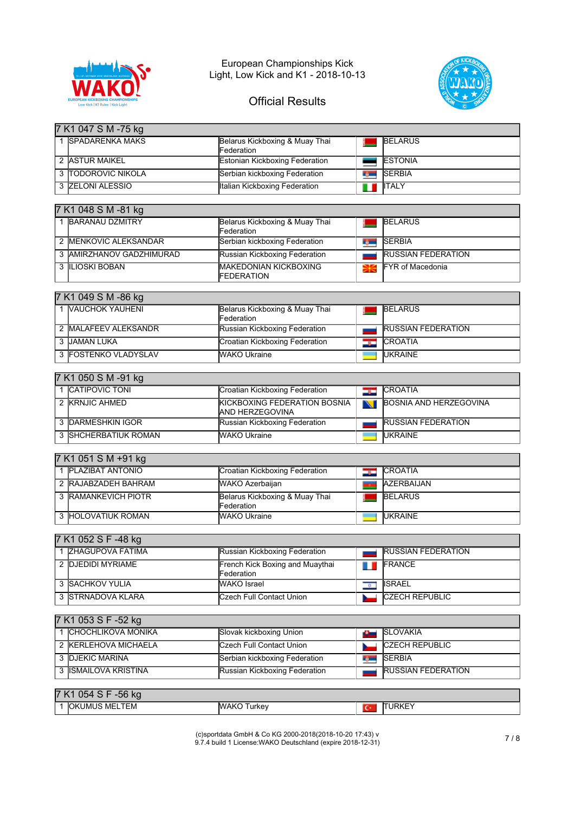



# Official Results

| 7 K1 047 S M -75 kg                       |                                                        |               |                               |  |  |  |
|-------------------------------------------|--------------------------------------------------------|---------------|-------------------------------|--|--|--|
| 1 SPADARENKA MAKS                         | Belarus Kickboxing & Muay Thai<br>Federation           |               | <b>BELARUS</b>                |  |  |  |
| 2 ASTUR MAIKEL                            | <b>Estonian Kickboxing Federation</b>                  |               | <b>ESTONIA</b>                |  |  |  |
| <b>TODOROVIC NIKOLA</b>                   | Serbian kickboxing Federation                          | <b>Record</b> | <b>SERBIA</b>                 |  |  |  |
| 3 ZELONI ALESSIO                          | <b>Italian Kickboxing Federation</b>                   | ш             | <b>ITALY</b>                  |  |  |  |
|                                           |                                                        |               |                               |  |  |  |
| 7 K1 048 S M -81 kg                       |                                                        |               |                               |  |  |  |
| 1 BARANAU DZMITRY                         | Belarus Kickboxing & Muay Thai<br>Federation           |               | <b>BELARUS</b>                |  |  |  |
| 2 MENKOVIC ALEKSANDAR                     | Serbian kickboxing Federation                          | n m           | <b>SERBIA</b>                 |  |  |  |
| AMIRZHANOV GADZHIMURAD<br>3               | Russian Kickboxing Federation                          |               | <b>RUSSIAN FEDERATION</b>     |  |  |  |
| 3 ILIOSKI BOBAN                           | <b>MAKEDONIAN KICKBOXING</b><br><b>FEDERATION</b>      | ₩             | <b>FYR</b> of Macedonia       |  |  |  |
| 7 K1 049 S M -86 kg                       |                                                        |               |                               |  |  |  |
| 1 VAUCHOK YAUHENI                         | Belarus Kickboxing & Muay Thai<br>Federation           |               | <b>BELARUS</b>                |  |  |  |
| 2 MALAFEEV ALEKSANDR                      | Russian Kickboxing Federation                          |               | <b>RUSSIAN FEDERATION</b>     |  |  |  |
| 3 JAMAN LUKA                              | Croatian Kickboxing Federation                         | H             | <b>CROATIA</b>                |  |  |  |
| 3 FOSTENKO VLADYSLAV                      | <b>WAKO Ukraine</b>                                    |               | <b>UKRAINE</b>                |  |  |  |
|                                           |                                                        |               |                               |  |  |  |
| 7 K1 050 S M -91 kg                       |                                                        |               |                               |  |  |  |
| 1 CATIPOVIC TONI                          | Croatian Kickboxing Federation                         | درو           | <b>CROATIA</b>                |  |  |  |
| 2 KRNJIC AHMED                            | <b>KICKBOXING FEDERATION BOSNIA</b><br>AND HERZEGOVINA |               | <b>BOSNIA AND HERZEGOVINA</b> |  |  |  |
| 3 DARMESHKIN IGOR                         | Russian Kickboxing Federation                          |               | <b>RUSSIAN FEDERATION</b>     |  |  |  |
| 3 SHCHERBATIUK ROMAN                      | <b>WAKO Ukraine</b>                                    |               | <b>UKRAINE</b>                |  |  |  |
|                                           |                                                        |               |                               |  |  |  |
| 7 K1 051 S M +91 kg<br>1 PLAZIBAT ANTONIO | <b>Croatian Kickboxing Federation</b>                  |               | <b>CROATIA</b>                |  |  |  |
| 2 RAJABZADEH BAHRAM                       | WAKO Azerbaijan                                        | دی            | <b>AZERBAIJAN</b>             |  |  |  |
| 3 RAMANKEVICH PIOTR                       | Belarus Kickboxing & Muay Thai                         |               | <b>BELARUS</b>                |  |  |  |
|                                           | Federation                                             |               |                               |  |  |  |
| 3 HOLOVATIUK ROMAN                        | <b>WAKO Ukraine</b>                                    |               | <b>UKRAINE</b>                |  |  |  |
|                                           |                                                        |               |                               |  |  |  |
| 7 K1 052 S F -48 kg                       |                                                        |               |                               |  |  |  |
| 1 ZHAGUPOVA FATIMA                        | Russian Kickboxing Federation                          |               | <b>RUSSIAN FEDERATION</b>     |  |  |  |
| 2 DJEDIDI MYRIAME                         | French Kick Boxing and Muaythai<br>Federation          |               | FRANCE                        |  |  |  |
| 3 SACHKOV YULIA                           | <b>WAKO</b> Israel                                     | $\alpha$      | <b>ISRAEL</b>                 |  |  |  |
| <b>STRNADOVA KLARA</b><br>3               | <b>Czech Full Contact Union</b>                        |               | <b>CZECH REPUBLIC</b>         |  |  |  |
|                                           |                                                        |               |                               |  |  |  |
| 7 K1 053 S F -52 kg                       |                                                        |               |                               |  |  |  |
| 1 CHOCHLIKOVA MONIKA                      | Slovak kickboxing Union                                | <b>ALL</b>    | <b>SLOVAKIA</b>               |  |  |  |
| 2 KERLEHOVA MICHAELA                      | <b>Czech Full Contact Union</b>                        |               | CZECH REPUBLIC                |  |  |  |
| <b>DJEKIC MARINA</b><br>3                 | Serbian kickboxing Federation                          | <b>Marine</b> | <b>SERBIA</b>                 |  |  |  |
| 3 <b>ISMAILOVA KRISTINA</b>               | Russian Kickboxing Federation                          |               | <b>RUSSIAN FEDERATION</b>     |  |  |  |
| 7K1051C E56                               |                                                        |               |                               |  |  |  |

| - IN 1<br>$\overline{0}$ of $\overline{0}$<br>וטס - |               |  |        |  |  |
|-----------------------------------------------------|---------------|--|--------|--|--|
| $- - - -$<br>ואר<br>i MELIEM<br>JMUS.               | urkey<br>'ANL |  | INIVIV |  |  |
|                                                     |               |  |        |  |  |

(c)sportdata GmbH & Co KG 2000-2018(2018-10-20 17:43) v 9.7.4 build 1 License:WAKO Deutschland (expire 2018-12-31) 7 / 8